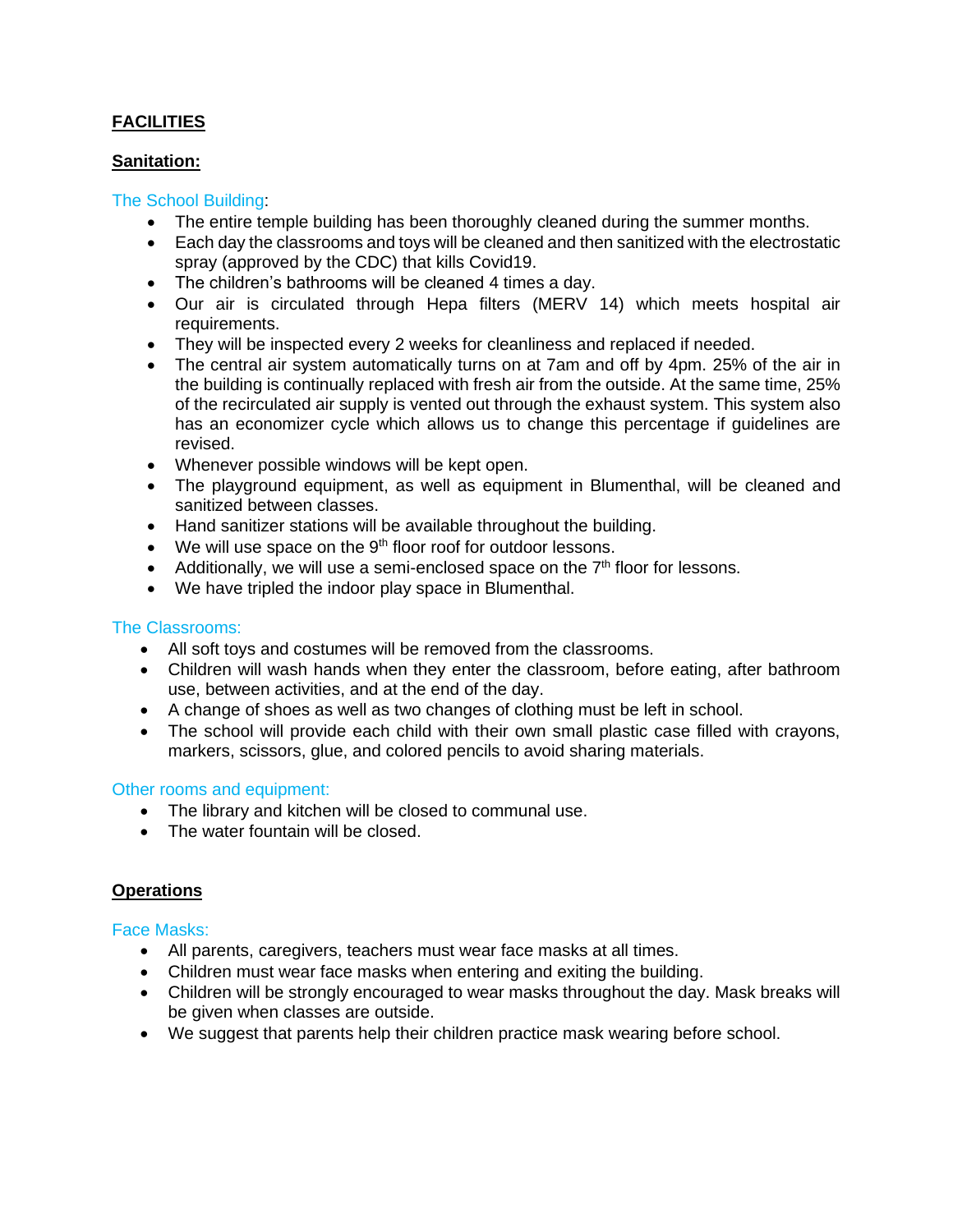# **FACILITIES**

# **Sanitation:**

### The School Building:

- The entire temple building has been thoroughly cleaned during the summer months.
- Each day the classrooms and toys will be cleaned and then sanitized with the electrostatic spray (approved by the CDC) that kills Covid19.
- The children's bathrooms will be cleaned 4 times a day.
- Our air is circulated through Hepa filters (MERV 14) which meets hospital air requirements.
- They will be inspected every 2 weeks for cleanliness and replaced if needed.
- The central air system automatically turns on at 7am and off by 4pm. 25% of the air in the building is continually replaced with fresh air from the outside. At the same time, 25% of the recirculated air supply is vented out through the exhaust system. This system also has an economizer cycle which allows us to change this percentage if guidelines are revised.
- Whenever possible windows will be kept open.
- The playground equipment, as well as equipment in Blumenthal, will be cleaned and sanitized between classes.
- Hand sanitizer stations will be available throughout the building.
- We will use space on the  $9<sup>th</sup>$  floor roof for outdoor lessons.
- Additionally, we will use a semi-enclosed space on the  $7<sup>th</sup>$  floor for lessons.
- We have tripled the indoor play space in Blumenthal.

# The Classrooms:

- All soft toys and costumes will be removed from the classrooms.
- Children will wash hands when they enter the classroom, before eating, after bathroom use, between activities, and at the end of the day.
- A change of shoes as well as two changes of clothing must be left in school.
- The school will provide each child with their own small plastic case filled with crayons, markers, scissors, glue, and colored pencils to avoid sharing materials.

# Other rooms and equipment:

- The library and kitchen will be closed to communal use.
- The water fountain will be closed.

# **Operations**

#### Face Masks:

- All parents, caregivers, teachers must wear face masks at all times.
- Children must wear face masks when entering and exiting the building.
- Children will be strongly encouraged to wear masks throughout the day. Mask breaks will be given when classes are outside.
- We suggest that parents help their children practice mask wearing before school.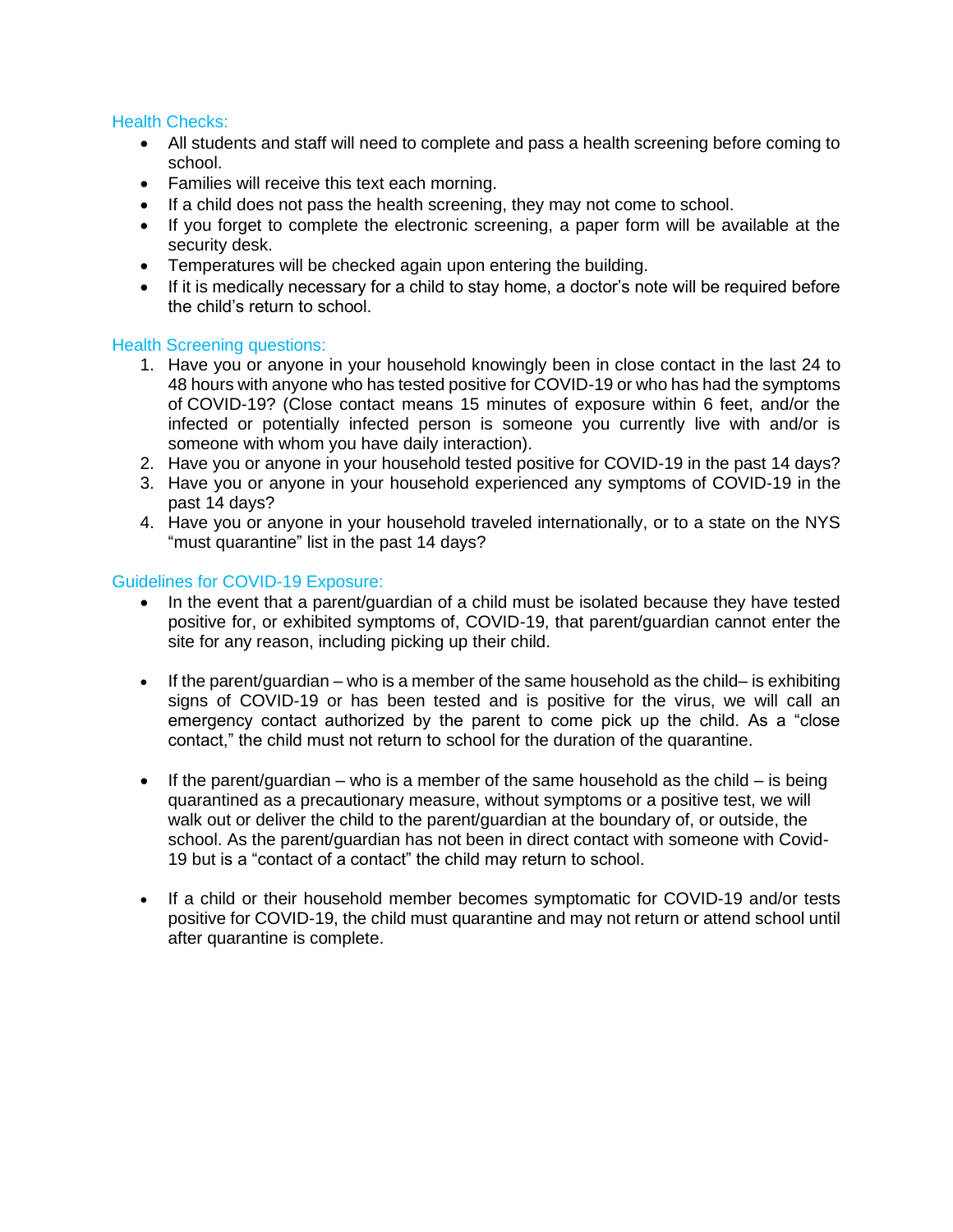### Health Checks:

- All students and staff will need to complete and pass a health screening before coming to school.
- Families will receive this text each morning.
- If a child does not pass the health screening, they may not come to school.
- If you forget to complete the electronic screening, a paper form will be available at the security desk.
- Temperatures will be checked again upon entering the building.
- If it is medically necessary for a child to stay home, a doctor's note will be required before the child's return to school.

### Health Screening questions:

- 1. Have you or anyone in your household knowingly been in close contact in the last 24 to 48 hours with anyone who has tested positive for COVID-19 or who has had the symptoms of COVID-19? (Close contact means 15 minutes of exposure within 6 feet, and/or the infected or potentially infected person is someone you currently live with and/or is someone with whom you have daily interaction).
- 2. Have you or anyone in your household tested positive for COVID-19 in the past 14 days?
- 3. Have you or anyone in your household experienced any symptoms of COVID-19 in the past 14 days?
- 4. Have you or anyone in your household traveled internationally, or to a state on the NYS "must quarantine" list in the past 14 days?

### Guidelines for COVID-19 Exposure:

- In the event that a parent/guardian of a child must be isolated because they have tested positive for, or exhibited symptoms of, COVID-19, that parent/guardian cannot enter the site for any reason, including picking up their child.
- $\bullet$  If the parent/guardian who is a member of the same household as the child– is exhibiting signs of COVID-19 or has been tested and is positive for the virus, we will call an emergency contact authorized by the parent to come pick up the child. As a "close contact," the child must not return to school for the duration of the quarantine.
- $\bullet$  If the parent/guardian who is a member of the same household as the child is being quarantined as a precautionary measure, without symptoms or a positive test, we will walk out or deliver the child to the parent/guardian at the boundary of, or outside, the school. As the parent/guardian has not been in direct contact with someone with Covid-19 but is a "contact of a contact" the child may return to school.
- If a child or their household member becomes symptomatic for COVID-19 and/or tests positive for COVID-19, the child must quarantine and may not return or attend school until after quarantine is complete.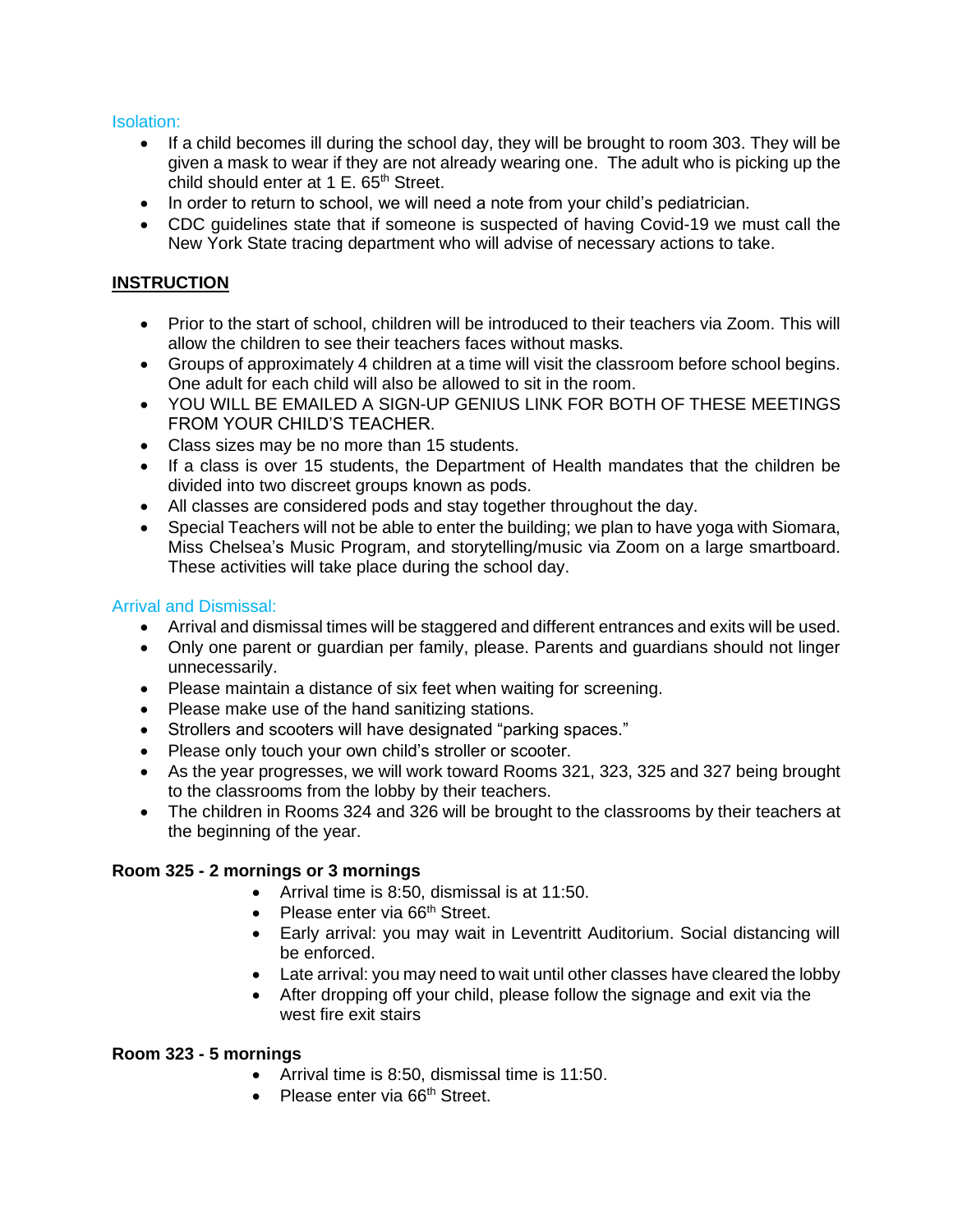Isolation:

- If a child becomes ill during the school day, they will be brought to room 303. They will be given a mask to wear if they are not already wearing one. The adult who is picking up the child should enter at 1 E. 65<sup>th</sup> Street.
- In order to return to school, we will need a note from your child's pediatrician.
- CDC guidelines state that if someone is suspected of having Covid-19 we must call the New York State tracing department who will advise of necessary actions to take.

# **INSTRUCTION**

- Prior to the start of school, children will be introduced to their teachers via Zoom. This will allow the children to see their teachers faces without masks.
- Groups of approximately 4 children at a time will visit the classroom before school begins. One adult for each child will also be allowed to sit in the room.
- YOU WILL BE EMAILED A SIGN-UP GENIUS LINK FOR BOTH OF THESE MEETINGS FROM YOUR CHILD'S TEACHER.
- Class sizes may be no more than 15 students.
- If a class is over 15 students, the Department of Health mandates that the children be divided into two discreet groups known as pods.
- All classes are considered pods and stay together throughout the day.
- Special Teachers will not be able to enter the building; we plan to have yoga with Siomara, Miss Chelsea's Music Program, and storytelling/music via Zoom on a large smartboard. These activities will take place during the school day.

# Arrival and Dismissal:

- Arrival and dismissal times will be staggered and different entrances and exits will be used.
- Only one parent or guardian per family, please. Parents and guardians should not linger unnecessarily.
- Please maintain a distance of six feet when waiting for screening.
- Please make use of the hand sanitizing stations.
- Strollers and scooters will have designated "parking spaces."
- Please only touch your own child's stroller or scooter.
- As the year progresses, we will work toward Rooms 321, 323, 325 and 327 being brought to the classrooms from the lobby by their teachers.
- The children in Rooms 324 and 326 will be brought to the classrooms by their teachers at the beginning of the year.

# **Room 325 - 2 mornings or 3 mornings**

- Arrival time is 8:50, dismissal is at 11:50.
- Please enter via 66<sup>th</sup> Street.
- Early arrival: you may wait in Leventritt Auditorium. Social distancing will be enforced.
- Late arrival: you may need to wait until other classes have cleared the lobby
- After dropping off your child, please follow the signage and exit via the west fire exit stairs

# **Room 323 - 5 mornings**

- Arrival time is 8:50, dismissal time is 11:50.
- Please enter via 66<sup>th</sup> Street.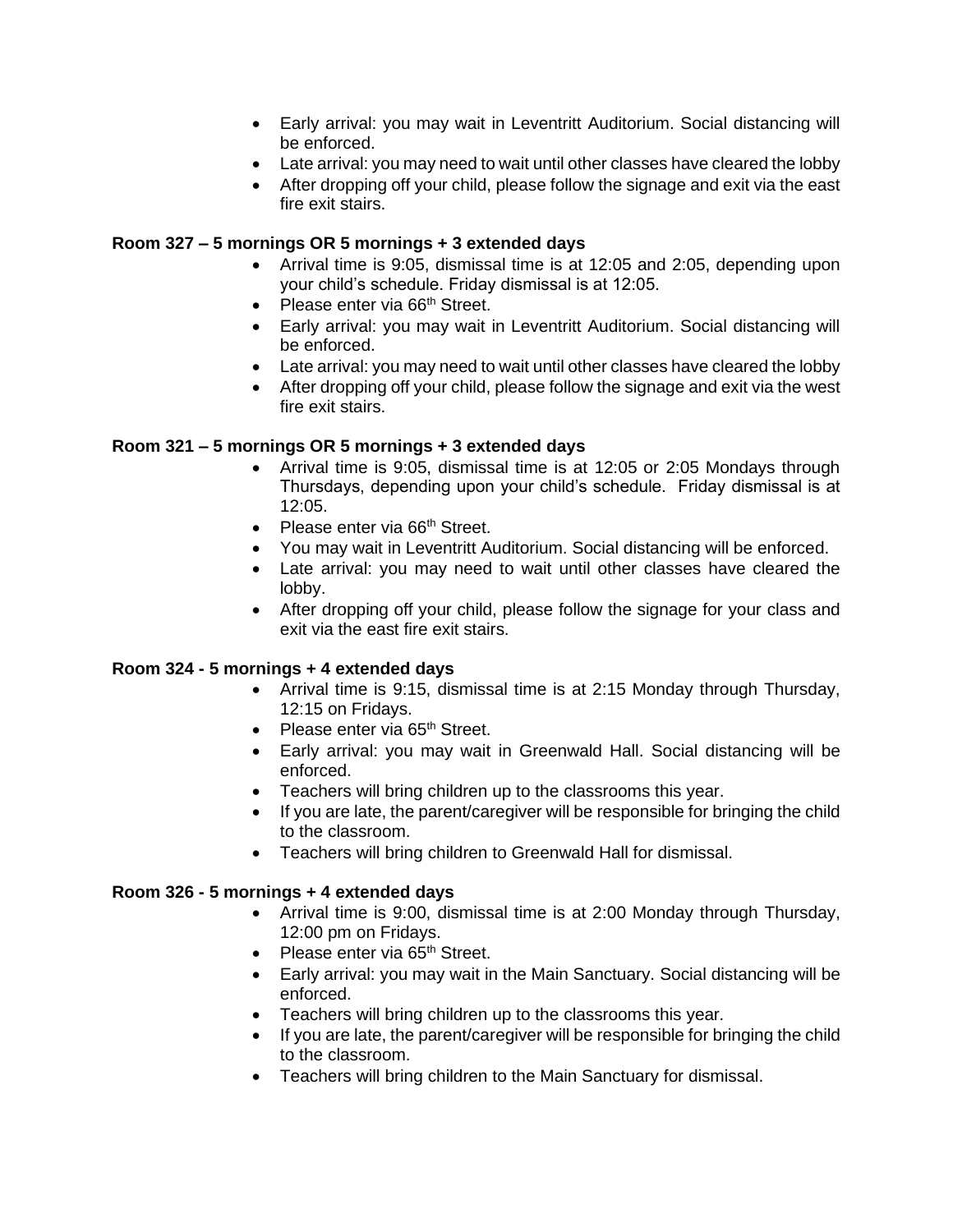- Early arrival: you may wait in Leventritt Auditorium. Social distancing will be enforced.
- Late arrival: you may need to wait until other classes have cleared the lobby
- After dropping off your child, please follow the signage and exit via the east fire exit stairs.

# **Room 327 – 5 mornings OR 5 mornings + 3 extended days**

- Arrival time is 9:05, dismissal time is at 12:05 and 2:05, depending upon your child's schedule. Friday dismissal is at 12:05.
- Please enter via 66<sup>th</sup> Street.
- Early arrival: you may wait in Leventritt Auditorium. Social distancing will be enforced.
- Late arrival: you may need to wait until other classes have cleared the lobby
- After dropping off your child, please follow the signage and exit via the west fire exit stairs.

### **Room 321 – 5 mornings OR 5 mornings + 3 extended days**

- Arrival time is 9:05, dismissal time is at 12:05 or 2:05 Mondays through Thursdays, depending upon your child's schedule. Friday dismissal is at 12:05.
- Please enter via  $66<sup>th</sup>$  Street.
- You may wait in Leventritt Auditorium. Social distancing will be enforced.
- Late arrival: you may need to wait until other classes have cleared the lobby.
- After dropping off your child, please follow the signage for your class and exit via the east fire exit stairs.

#### **Room 324 - 5 mornings + 4 extended days**

- Arrival time is 9:15, dismissal time is at 2:15 Monday through Thursday, 12:15 on Fridays.
- Please enter via  $65<sup>th</sup>$  Street.
- Early arrival: you may wait in Greenwald Hall. Social distancing will be enforced.
- Teachers will bring children up to the classrooms this year.
- If you are late, the parent/caregiver will be responsible for bringing the child to the classroom.
- Teachers will bring children to Greenwald Hall for dismissal.

#### **Room 326 - 5 mornings + 4 extended days**

- Arrival time is 9:00, dismissal time is at 2:00 Monday through Thursday, 12:00 pm on Fridays.
- Please enter via 65<sup>th</sup> Street.
- Early arrival: you may wait in the Main Sanctuary. Social distancing will be enforced.
- Teachers will bring children up to the classrooms this year*.*
- If you are late, the parent/caregiver will be responsible for bringing the child to the classroom.
- Teachers will bring children to the Main Sanctuary for dismissal.